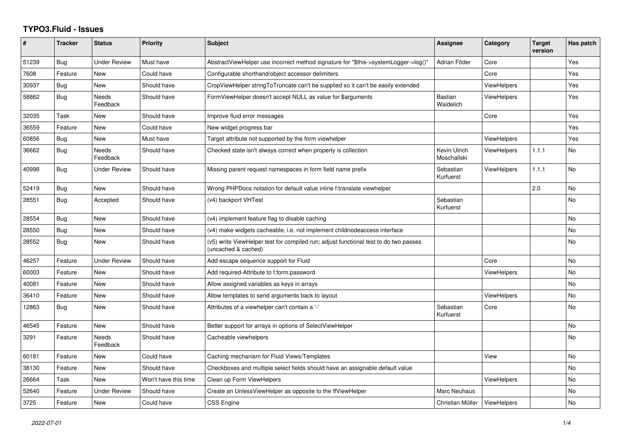## **TYPO3.Fluid - Issues**

| #     | <b>Tracker</b> | <b>Status</b>            | <b>Priority</b>      | <b>Subject</b>                                                                                              | Assignee                    | Category           | <b>Target</b><br>version | Has patch |
|-------|----------------|--------------------------|----------------------|-------------------------------------------------------------------------------------------------------------|-----------------------------|--------------------|--------------------------|-----------|
| 51239 | Bug            | <b>Under Review</b>      | Must have            | AbstractViewHelper use incorrect method signature for "\$this->systemLogger->log()"                         | Adrian Föder                | Core               |                          | Yes       |
| 7608  | Feature        | New                      | Could have           | Configurable shorthand/object accessor delimiters                                                           |                             | Core               |                          | Yes       |
| 30937 | Bug            | <b>New</b>               | Should have          | CropViewHelper stringToTruncate can't be supplied so it can't be easily extended                            |                             | <b>ViewHelpers</b> |                          | Yes       |
| 58862 | Bug            | Needs<br>Feedback        | Should have          | FormViewHelper doesn't accept NULL as value for \$arguments                                                 | <b>Bastian</b><br>Waidelich | <b>ViewHelpers</b> |                          | Yes       |
| 32035 | Task           | New                      | Should have          | Improve fluid error messages                                                                                |                             | Core               |                          | Yes       |
| 36559 | Feature        | New                      | Could have           | New widget progress bar                                                                                     |                             |                    |                          | Yes       |
| 60856 | Bug            | New                      | Must have            | Target attribute not supported by the form viewhelper                                                       |                             | <b>ViewHelpers</b> |                          | Yes       |
| 36662 | <b>Bug</b>     | <b>Needs</b><br>Feedback | Should have          | Checked state isn't always correct when property is collection                                              | Kevin Ulrich<br>Moschallski | <b>ViewHelpers</b> | 1.1.1                    | <b>No</b> |
| 40998 | <b>Bug</b>     | Under Review             | Should have          | Missing parent request namespaces in form field name prefix                                                 | Sebastian<br>Kurfuerst      | <b>ViewHelpers</b> | 1.1.1                    | <b>No</b> |
| 52419 | <b>Bug</b>     | New                      | Should have          | Wrong PHPDocs notation for default value inline f:translate viewhelper                                      |                             |                    | 2.0                      | No        |
| 28551 | <b>Bug</b>     | Accepted                 | Should have          | (v4) backport VHTest                                                                                        | Sebastian<br>Kurfuerst      |                    |                          | <b>No</b> |
| 28554 | Bug            | New                      | Should have          | (v4) implement feature flag to disable caching                                                              |                             |                    |                          | <b>No</b> |
| 28550 | Bug            | New                      | Should have          | (v4) make widgets cacheable, i.e. not implement childnodeaccess interface                                   |                             |                    |                          | No        |
| 28552 | <b>Bug</b>     | New                      | Should have          | (v5) write ViewHelper test for compiled run; adjust functional test to do two passes<br>(uncached & cached) |                             |                    |                          | <b>No</b> |
| 46257 | Feature        | <b>Under Review</b>      | Should have          | Add escape sequence support for Fluid                                                                       |                             | Core               |                          | <b>No</b> |
| 60003 | Feature        | New                      | Should have          | Add required-Attribute to f:form.password                                                                   |                             | ViewHelpers        |                          | No        |
| 40081 | Feature        | <b>New</b>               | Should have          | Allow assigned variables as keys in arrays                                                                  |                             |                    |                          | <b>No</b> |
| 36410 | Feature        | New                      | Should have          | Allow templates to send arguments back to layout                                                            |                             | <b>ViewHelpers</b> |                          | <b>No</b> |
| 12863 | Bug            | New                      | Should have          | Attributes of a viewhelper can't contain a '-'                                                              | Sebastian<br>Kurfuerst      | Core               |                          | No        |
| 46545 | Feature        | New                      | Should have          | Better support for arrays in options of SelectViewHelper                                                    |                             |                    |                          | <b>No</b> |
| 3291  | Feature        | Needs<br>Feedback        | Should have          | Cacheable viewhelpers                                                                                       |                             |                    |                          | <b>No</b> |
| 60181 | Feature        | New                      | Could have           | Caching mechanism for Fluid Views/Templates                                                                 |                             | View               |                          | <b>No</b> |
| 38130 | Feature        | New                      | Should have          | Checkboxes and multiple select fields should have an assignable default value                               |                             |                    |                          | <b>No</b> |
| 26664 | Task           | New                      | Won't have this time | Clean up Form ViewHelpers                                                                                   |                             | <b>ViewHelpers</b> |                          | <b>No</b> |
| 52640 | Feature        | <b>Under Review</b>      | Should have          | Create an UnlessViewHelper as opposite to the IfViewHelper                                                  | <b>Marc Neuhaus</b>         |                    |                          | No        |
| 3725  | Feature        | New                      | Could have           | CSS Engine                                                                                                  | Christian Müller            | ViewHelpers        |                          | <b>No</b> |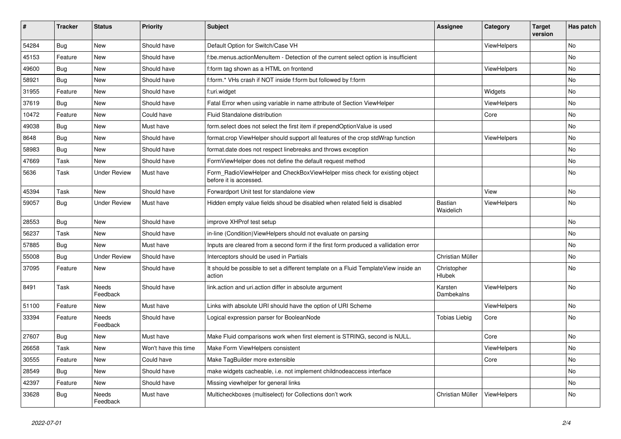| #     | <b>Tracker</b> | <b>Status</b>       | <b>Priority</b>      | Subject                                                                                              | <b>Assignee</b>             | Category           | <b>Target</b><br>version | Has patch |
|-------|----------------|---------------------|----------------------|------------------------------------------------------------------------------------------------------|-----------------------------|--------------------|--------------------------|-----------|
| 54284 | Bug            | New                 | Should have          | Default Option for Switch/Case VH                                                                    |                             | ViewHelpers        |                          | <b>No</b> |
| 45153 | Feature        | New                 | Should have          | f:be.menus.actionMenuItem - Detection of the current select option is insufficient                   |                             |                    |                          | No        |
| 49600 | Bug            | New                 | Should have          | f:form tag shown as a HTML on frontend                                                               |                             | ViewHelpers        |                          | No        |
| 58921 | Bug            | New                 | Should have          | f:form.* VHs crash if NOT inside f:form but followed by f:form                                       |                             |                    |                          | No        |
| 31955 | Feature        | New                 | Should have          | f:uri.widget                                                                                         |                             | Widgets            |                          | No        |
| 37619 | Bug            | New                 | Should have          | Fatal Error when using variable in name attribute of Section ViewHelper                              |                             | ViewHelpers        |                          | No        |
| 10472 | Feature        | New                 | Could have           | Fluid Standalone distribution                                                                        |                             | Core               |                          | No        |
| 49038 | Bug            | New                 | Must have            | form.select does not select the first item if prependOptionValue is used                             |                             |                    |                          | No        |
| 8648  | Bug            | New                 | Should have          | format.crop ViewHelper should support all features of the crop stdWrap function                      |                             | ViewHelpers        |                          | No        |
| 58983 | <b>Bug</b>     | New                 | Should have          | format.date does not respect linebreaks and throws exception                                         |                             |                    |                          | No        |
| 47669 | Task           | <b>New</b>          | Should have          | FormViewHelper does not define the default request method                                            |                             |                    |                          | <b>No</b> |
| 5636  | Task           | <b>Under Review</b> | Must have            | Form_RadioViewHelper and CheckBoxViewHelper miss check for existing object<br>before it is accessed. |                             |                    |                          | No        |
| 45394 | Task           | <b>New</b>          | Should have          | Forwardport Unit test for standalone view                                                            |                             | View               |                          | No        |
| 59057 | Bug            | <b>Under Review</b> | Must have            | Hidden empty value fields shoud be disabled when related field is disabled                           | <b>Bastian</b><br>Waidelich | ViewHelpers        |                          | No        |
| 28553 | Bug            | New                 | Should have          | improve XHProf test setup                                                                            |                             |                    |                          | <b>No</b> |
| 56237 | Task           | New                 | Should have          | in-line (Condition) View Helpers should not evaluate on parsing                                      |                             |                    |                          | No        |
| 57885 | Bug            | <b>New</b>          | Must have            | Inputs are cleared from a second form if the first form produced a vallidation error                 |                             |                    |                          | <b>No</b> |
| 55008 | Bug            | <b>Under Review</b> | Should have          | Interceptors should be used in Partials                                                              | Christian Müller            |                    |                          | No        |
| 37095 | Feature        | New                 | Should have          | It should be possible to set a different template on a Fluid TemplateView inside an<br>action        | Christopher<br>Hlubek       |                    |                          | <b>No</b> |
| 8491  | Task           | Needs<br>Feedback   | Should have          | link.action and uri.action differ in absolute argument                                               | Karsten<br>Dambekalns       | ViewHelpers        |                          | <b>No</b> |
| 51100 | Feature        | New                 | Must have            | Links with absolute URI should have the option of URI Scheme                                         |                             | ViewHelpers        |                          | <b>No</b> |
| 33394 | Feature        | Needs<br>Feedback   | Should have          | Logical expression parser for BooleanNode                                                            | <b>Tobias Liebig</b>        | Core               |                          | No        |
| 27607 | Bug            | New                 | Must have            | Make Fluid comparisons work when first element is STRING, second is NULL.                            |                             | Core               |                          | No        |
| 26658 | Task           | New                 | Won't have this time | Make Form ViewHelpers consistent                                                                     |                             | <b>ViewHelpers</b> |                          | No        |
| 30555 | Feature        | New                 | Could have           | Make TagBuilder more extensible                                                                      |                             | Core               |                          | No        |
| 28549 | Bug            | New                 | Should have          | make widgets cacheable, i.e. not implement childnodeaccess interface                                 |                             |                    |                          | No        |
| 42397 | Feature        | New                 | Should have          | Missing viewhelper for general links                                                                 |                             |                    |                          | No        |
| 33628 | <b>Bug</b>     | Needs<br>Feedback   | Must have            | Multicheckboxes (multiselect) for Collections don't work                                             | Christian Müller            | ViewHelpers        |                          | No        |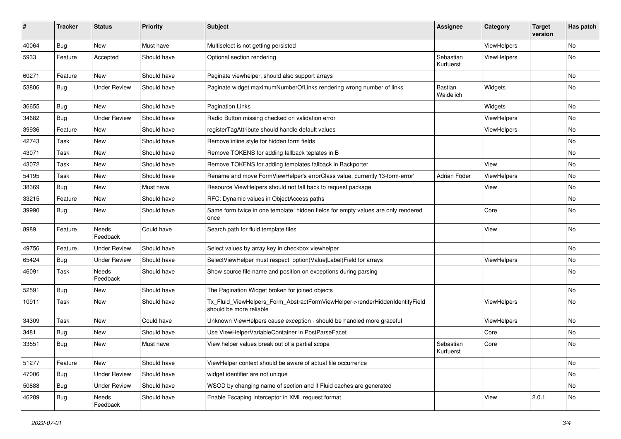| #     | <b>Tracker</b> | <b>Status</b>       | <b>Priority</b> | Subject                                                                                                | <b>Assignee</b>             | Category    | <b>Target</b><br>version | Has patch |
|-------|----------------|---------------------|-----------------|--------------------------------------------------------------------------------------------------------|-----------------------------|-------------|--------------------------|-----------|
| 40064 | <b>Bug</b>     | New                 | Must have       | Multiselect is not getting persisted                                                                   |                             | ViewHelpers |                          | <b>No</b> |
| 5933  | Feature        | Accepted            | Should have     | Optional section rendering                                                                             | Sebastian<br>Kurfuerst      | ViewHelpers |                          | No        |
| 60271 | Feature        | <b>New</b>          | Should have     | Paginate viewhelper, should also support arrays                                                        |                             |             |                          | No        |
| 53806 | Bug            | <b>Under Review</b> | Should have     | Paginate widget maximumNumberOfLinks rendering wrong number of links                                   | <b>Bastian</b><br>Waidelich | Widgets     |                          | No        |
| 36655 | Bug            | New                 | Should have     | <b>Pagination Links</b>                                                                                |                             | Widgets     |                          | No        |
| 34682 | Bug            | <b>Under Review</b> | Should have     | Radio Button missing checked on validation error                                                       |                             | ViewHelpers |                          | No        |
| 39936 | Feature        | New                 | Should have     | registerTagAttribute should handle default values                                                      |                             | ViewHelpers |                          | No        |
| 42743 | Task           | New                 | Should have     | Remove inline style for hidden form fields                                                             |                             |             |                          | No        |
| 43071 | Task           | New                 | Should have     | Remove TOKENS for adding fallback teplates in B                                                        |                             |             |                          | No        |
| 43072 | Task           | New                 | Should have     | Remove TOKENS for adding templates fallback in Backporter                                              |                             | View        |                          | No        |
| 54195 | Task           | New                 | Should have     | Rename and move FormViewHelper's errorClass value, currently 'f3-form-error'                           | Adrian Föder                | ViewHelpers |                          | No        |
| 38369 | Bug            | New                 | Must have       | Resource ViewHelpers should not fall back to request package                                           |                             | View        |                          | No        |
| 33215 | Feature        | New                 | Should have     | RFC: Dynamic values in ObjectAccess paths                                                              |                             |             |                          | No        |
| 39990 | Bug            | New                 | Should have     | Same form twice in one template: hidden fields for empty values are only rendered<br>once              |                             | Core        |                          | No        |
| 8989  | Feature        | Needs<br>Feedback   | Could have      | Search path for fluid template files                                                                   |                             | View        |                          | <b>No</b> |
| 49756 | Feature        | <b>Under Review</b> | Should have     | Select values by array key in checkbox viewhelper                                                      |                             |             |                          | No        |
| 65424 | Bug            | <b>Under Review</b> | Should have     | SelectViewHelper must respect option(Value Label)Field for arrays                                      |                             | ViewHelpers |                          | No        |
| 46091 | Task           | Needs<br>Feedback   | Should have     | Show source file name and position on exceptions during parsing                                        |                             |             |                          | No        |
| 52591 | Bug            | New                 | Should have     | The Pagination Widget broken for joined objects                                                        |                             |             |                          | No        |
| 10911 | Task           | New                 | Should have     | Tx_Fluid_ViewHelpers_Form_AbstractFormViewHelper->renderHiddenIdentityField<br>should be more reliable |                             | ViewHelpers |                          | No        |
| 34309 | Task           | New                 | Could have      | Unknown ViewHelpers cause exception - should be handled more graceful                                  |                             | ViewHelpers |                          | No        |
| 3481  | Bug            | New                 | Should have     | Use ViewHelperVariableContainer in PostParseFacet                                                      |                             | Core        |                          | No        |
| 33551 | Bug            | New                 | Must have       | View helper values break out of a partial scope                                                        | Sebastian<br>Kurfuerst      | Core        |                          | No        |
| 51277 | Feature        | <b>New</b>          | Should have     | ViewHelper context should be aware of actual file occurrence                                           |                             |             |                          | No        |
| 47006 | <b>Bug</b>     | <b>Under Review</b> | Should have     | widget identifier are not unique                                                                       |                             |             |                          | No        |
| 50888 | Bug            | <b>Under Review</b> | Should have     | WSOD by changing name of section and if Fluid caches are generated                                     |                             |             |                          | No        |
| 46289 | <b>Bug</b>     | Needs<br>Feedback   | Should have     | Enable Escaping Interceptor in XML request format                                                      |                             | View        | 2.0.1                    | No        |